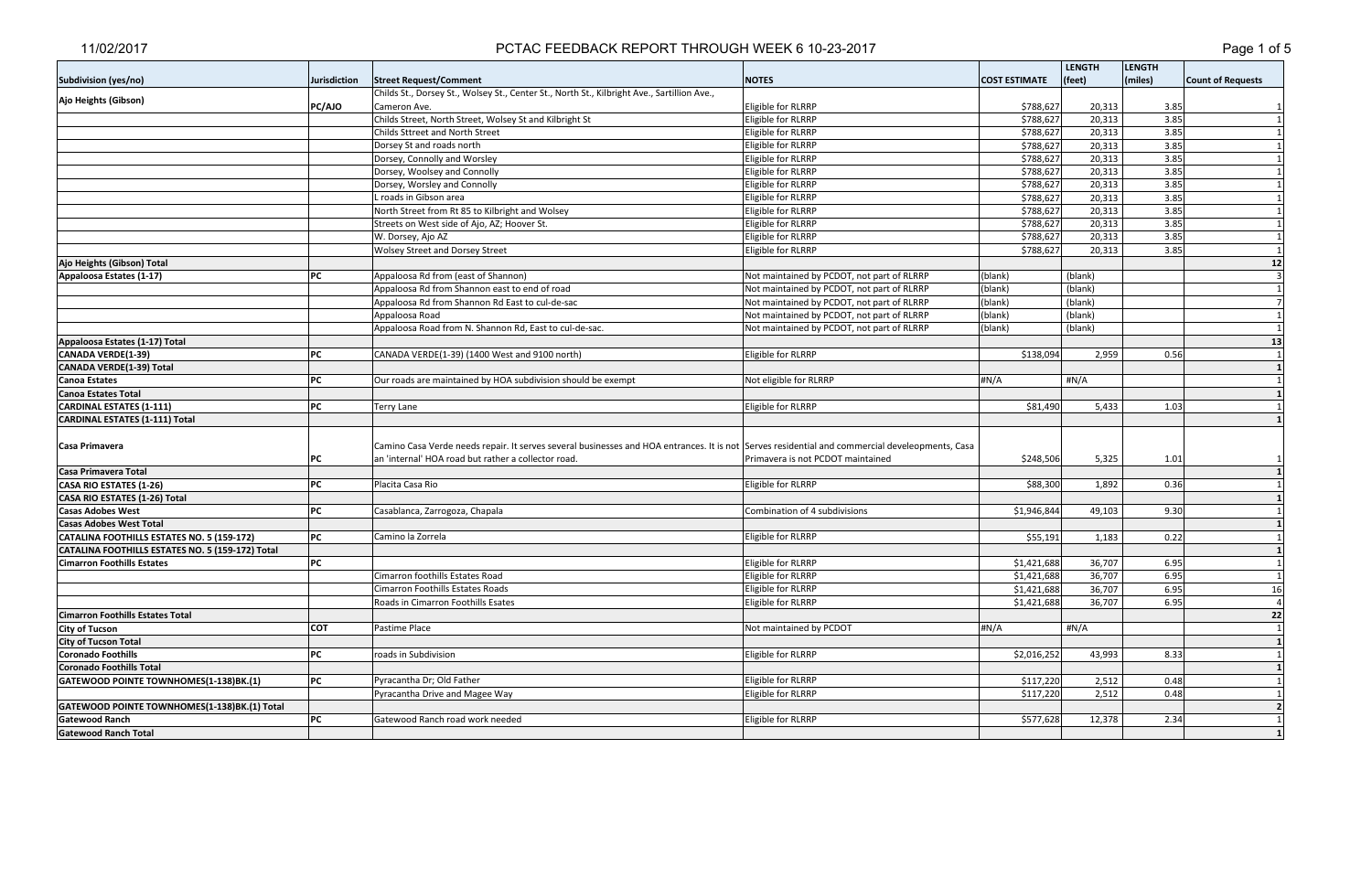|                                                  |                     |                                                                                                                                                 |                                            |                      | <b>LENGTH</b> | <b>LENGTH</b> |                          |
|--------------------------------------------------|---------------------|-------------------------------------------------------------------------------------------------------------------------------------------------|--------------------------------------------|----------------------|---------------|---------------|--------------------------|
| <b>Subdivision (yes/no)</b>                      | <b>Jurisdiction</b> | <b>Street Request/Comment</b>                                                                                                                   | <b>NOTES</b>                               | <b>COST ESTIMATE</b> | (feet)        | (miles)       | <b>Count of Requests</b> |
|                                                  |                     | Childs St., Dorsey St., Wolsey St., Center St., North St., Kilbright Ave., Sartillion Ave.,                                                     |                                            |                      |               |               |                          |
| Ajo Heights (Gibson)                             | PC/AJO              | Cameron Ave.                                                                                                                                    | Eligible for RLRRP                         | \$788,627            | 20,313        | 3.85          |                          |
|                                                  |                     | Childs Street, North Street, Wolsey St and Kilbright St                                                                                         | Eligible for RLRRP                         | \$788,627            | 20,313        | 3.85          |                          |
|                                                  |                     | Childs Sttreet and North Street                                                                                                                 | Eligible for RLRRP                         | \$788,627            | 20,313        | 3.85          |                          |
|                                                  |                     | Dorsey St and roads north                                                                                                                       | Eligible for RLRRP                         | \$788,627            | 20,313        | 3.85          |                          |
|                                                  |                     | Dorsey, Connolly and Worsley                                                                                                                    | Eligible for RLRRP                         | \$788,627            | 20,313        | 3.85          |                          |
|                                                  |                     | Dorsey, Woolsey and Connolly                                                                                                                    | Eligible for RLRRP                         | \$788,627            | 20,313        | 3.85          |                          |
|                                                  |                     | Dorsey, Worsley and Connolly                                                                                                                    | Eligible for RLRRP                         | \$788,627            | 20,313        | 3.85          |                          |
|                                                  |                     | L roads in Gibson area                                                                                                                          | Eligible for RLRRP                         | \$788,627            | 20,313        | 3.85          |                          |
|                                                  |                     | North Street from Rt 85 to Kilbright and Wolsey                                                                                                 | Eligible for RLRRP                         | \$788,627            | 20,313        | 3.85          |                          |
|                                                  |                     | Streets on West side of Ajo, AZ; Hoover St.                                                                                                     | Eligible for RLRRP                         | \$788,627            | 20,313        | 3.85          |                          |
|                                                  |                     | W. Dorsey, Ajo AZ                                                                                                                               | Eligible for RLRRP                         | \$788,627            | 20,313        | 3.85          |                          |
|                                                  |                     | <b>Wolsey Street and Dorsey Street</b>                                                                                                          | Eligible for RLRRP                         | \$788,627            | 20,313        | 3.85          |                          |
| Ajo Heights (Gibson) Total                       |                     |                                                                                                                                                 |                                            |                      |               |               | 12                       |
| Appaloosa Estates (1-17)                         | PC                  | Appaloosa Rd from (east of Shannon)                                                                                                             | Not maintained by PCDOT, not part of RLRRP | (blank)              | (blank)       |               |                          |
|                                                  |                     | Appaloosa Rd from Shannon east to end of road                                                                                                   | Not maintained by PCDOT, not part of RLRRP | (blank)              | (blank)       |               |                          |
|                                                  |                     | Appaloosa Rd from Shannon Rd East to cul-de-sac                                                                                                 | Not maintained by PCDOT, not part of RLRRP | (blank)              | (blank)       |               |                          |
|                                                  |                     | Appaloosa Road                                                                                                                                  | Not maintained by PCDOT, not part of RLRRP | (blank)              | (blank)       |               |                          |
|                                                  |                     | Appaloosa Road from N. Shannon Rd, East to cul-de-sac.                                                                                          | Not maintained by PCDOT, not part of RLRRP | (blank)              | (blank)       |               |                          |
| Appaloosa Estates (1-17) Total                   |                     |                                                                                                                                                 |                                            |                      |               |               | 13                       |
| CANADA VERDE(1-39)                               | PC                  | CANADA VERDE(1-39) (1400 West and 9100 north)                                                                                                   | Eligible for RLRRP                         | \$138,094            | 2,959         | 0.56          |                          |
| CANADA VERDE(1-39) Total                         |                     |                                                                                                                                                 |                                            |                      |               |               |                          |
| <b>Canoa Estates</b>                             | PC                  | Our roads are maintained by HOA subdivision should be exempt                                                                                    | Not eligible for RLRRP                     | #N/A                 | #N/A          |               |                          |
| <b>Canoa Estates Total</b>                       |                     |                                                                                                                                                 |                                            |                      |               |               |                          |
| <b>CARDINAL ESTATES (1-111)</b>                  | PC                  | <b>Terry Lane</b>                                                                                                                               | Eligible for RLRRP                         | \$81,490             | 5,433         | 1.03          |                          |
| <b>CARDINAL ESTATES (1-111) Total</b>            |                     |                                                                                                                                                 |                                            |                      |               |               |                          |
|                                                  |                     |                                                                                                                                                 |                                            |                      |               |               |                          |
| Casa Primavera                                   |                     | Camino Casa Verde needs repair. It serves several businesses and HOA entrances. It is not Serves residential and commercial develeopments, Casa |                                            |                      |               |               |                          |
|                                                  | PC                  | an 'internal' HOA road but rather a collector road.                                                                                             | Primavera is not PCDOT maintained          | \$248,506            | 5,325         | 1.01          |                          |
| Casa Primavera Total                             |                     |                                                                                                                                                 |                                            |                      |               |               |                          |
| CASA RIO ESTATES (1-26)                          | PC                  | Placita Casa Rio                                                                                                                                | Eligible for RLRRP                         | \$88,300             | 1,892         | 0.36          |                          |
| CASA RIO ESTATES (1-26) Total                    |                     |                                                                                                                                                 |                                            |                      |               |               |                          |
| <b>Casas Adobes West</b>                         | PC                  | Casablanca, Zarrogoza, Chapala                                                                                                                  | Combination of 4 subdivisions              | \$1,946,844          | 49,103        | 9.30          |                          |
| <b>Casas Adobes West Total</b>                   |                     |                                                                                                                                                 |                                            |                      |               |               |                          |
| CATALINA FOOTHILLS ESTATES NO. 5 (159-172)       | PC                  | Camino la Zorrela                                                                                                                               | Eligible for RLRRP                         | \$55,191             | 1,183         | 0.22          |                          |
| CATALINA FOOTHILLS ESTATES NO. 5 (159-172) Total |                     |                                                                                                                                                 |                                            |                      |               |               |                          |
| <b>Cimarron Foothills Estates</b>                | PC                  |                                                                                                                                                 | Eligible for RLRRP                         | \$1,421,688          | 36,707        | 6.95          | $\mathbf{1}$             |
|                                                  |                     | Cimarron foothills Estates Road                                                                                                                 | Eligible for RLRRP                         | \$1,421,688          | 36,707        | 6.95          |                          |
|                                                  |                     | Cimarron Foothills Estates Roads                                                                                                                | Eligible for RLRRP                         | \$1,421,688          | 36,707        | 6.95          | 16                       |
|                                                  |                     | Roads in Cimarron Foothills Esates                                                                                                              | Eligible for RLRRP                         | \$1,421,688          | 36,707        | 6.95          | $\Delta$                 |
| <b>Cimarron Foothills Estates Total</b>          |                     |                                                                                                                                                 |                                            |                      |               |               | 22                       |
| <b>City of Tucson</b>                            | <b>COT</b>          | Pastime Place                                                                                                                                   | Not maintained by PCDOT                    | #N/A                 | #N/A          |               |                          |
| <b>City of Tucson Total</b>                      |                     |                                                                                                                                                 |                                            |                      |               |               |                          |
| <b>Coronado Foothills</b>                        | PC                  | roads in Subdivision                                                                                                                            | Eligible for RLRRP                         | \$2,016,252          | 43,993        | 8.33          |                          |
| Coronado Foothills Total                         |                     |                                                                                                                                                 |                                            |                      |               |               |                          |
| GATEWOOD POINTE TOWNHOMES(1-138)BK.(1)           | PC                  | Pyracantha Dr; Old Father                                                                                                                       | Eligible for RLRRP                         | \$117,220            | 2,512         | 0.48          |                          |
|                                                  |                     | Pyracantha Drive and Magee Way                                                                                                                  | Eligible for RLRRP                         | \$117,220            | 2,512         | 0.48          |                          |
| GATEWOOD POINTE TOWNHOMES(1-138)BK.(1) Total     |                     |                                                                                                                                                 |                                            |                      |               |               |                          |
| <b>Gatewood Ranch</b>                            | PC                  | Gatewood Ranch road work needed                                                                                                                 | Eligible for RLRRP                         | \$577,628            | 12,378        | 2.34          |                          |
| <b>Gatewood Ranch Total</b>                      |                     |                                                                                                                                                 |                                            |                      |               |               |                          |
|                                                  |                     |                                                                                                                                                 |                                            |                      |               |               |                          |

# PCTAC FEEDBACK REPORT THROUGH WEEK 6 10-23-2017 **PERICIPS** 2017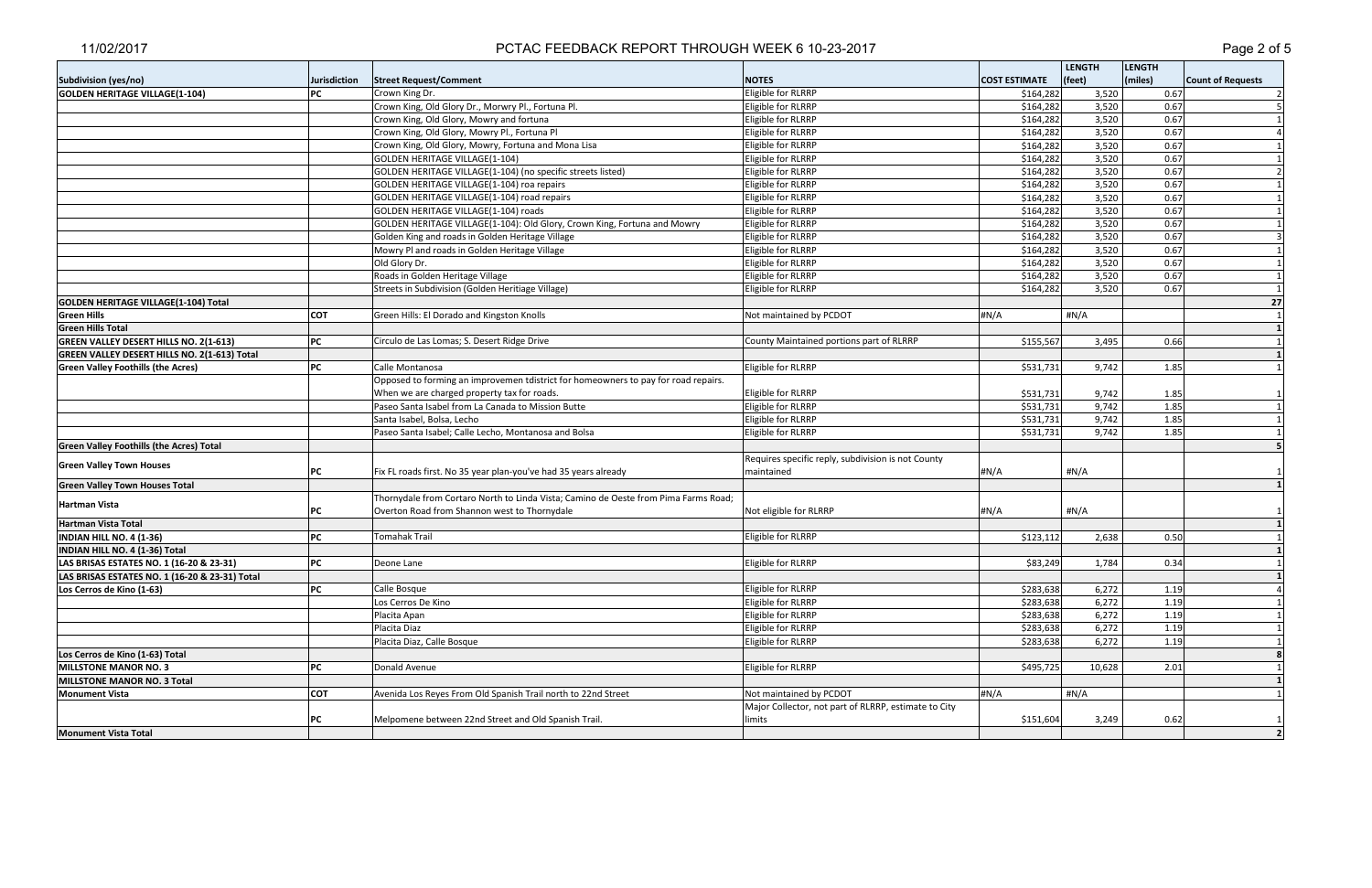|                                                 |                     |                                                                                     |                                                      |                      | <b>LENGTH</b> | <b>LENGTH</b> |                          |
|-------------------------------------------------|---------------------|-------------------------------------------------------------------------------------|------------------------------------------------------|----------------------|---------------|---------------|--------------------------|
| Subdivision (yes/no)                            | <b>Jurisdiction</b> | <b>Street Request/Comment</b>                                                       | <b>NOTES</b>                                         | <b>COST ESTIMATE</b> | (feet)        | (miles)       | <b>Count of Requests</b> |
| <b>GOLDEN HERITAGE VILLAGE(1-104)</b>           | PC                  | Crown King Dr.                                                                      | Eligible for RLRRP                                   | \$164,282            | 3,520         | 0.67          |                          |
|                                                 |                     | Crown King, Old Glory Dr., Morwry Pl., Fortuna Pl.                                  | Eligible for RLRRP                                   | \$164,282            | 3,520         | 0.67          |                          |
|                                                 |                     | Crown King, Old Glory, Mowry and fortuna                                            | Eligible for RLRRP                                   | \$164,282            | 3,520         | 0.67          |                          |
|                                                 |                     | Crown King, Old Glory, Mowry Pl., Fortuna Pl                                        | Eligible for RLRRP                                   | \$164,282            | 3,520         | 0.67          |                          |
|                                                 |                     | Crown King, Old Glory, Mowry, Fortuna and Mona Lisa                                 | Eligible for RLRRP                                   | \$164,282            | 3,520         | 0.67          |                          |
|                                                 |                     | GOLDEN HERITAGE VILLAGE(1-104)                                                      | Eligible for RLRRP                                   | \$164,282            | 3,520         | 0.67          |                          |
|                                                 |                     | GOLDEN HERITAGE VILLAGE(1-104) (no specific streets listed)                         | Eligible for RLRRP                                   | \$164,282            | 3,520         | 0.67          | $\overline{2}$           |
|                                                 |                     | GOLDEN HERITAGE VILLAGE(1-104) roa repairs                                          | Eligible for RLRRP                                   | \$164,282            | 3,520         | 0.67          |                          |
|                                                 |                     | GOLDEN HERITAGE VILLAGE(1-104) road repairs                                         | Eligible for RLRRP                                   | \$164,282            | 3,520         | 0.67          |                          |
|                                                 |                     | GOLDEN HERITAGE VILLAGE(1-104) roads                                                | Eligible for RLRRP                                   | \$164,282            | 3,520         | 0.67          |                          |
|                                                 |                     | GOLDEN HERITAGE VILLAGE(1-104): Old Glory, Crown King, Fortuna and Mowry            | Eligible for RLRRP                                   | \$164,282            | 3,520         | 0.67          |                          |
|                                                 |                     | Golden King and roads in Golden Heritage Village                                    | Eligible for RLRRP                                   | \$164,282            | 3,520         | 0.67          |                          |
|                                                 |                     | Mowry PI and roads in Golden Heritage Village                                       | Eligible for RLRRP                                   | \$164,282            | 3,520         | 0.67          |                          |
|                                                 |                     | Old Glory Dr.                                                                       | Eligible for RLRRP                                   | \$164,282            | 3,520         | 0.67          | $\mathbf{1}$             |
|                                                 |                     | Roads in Golden Heritage Village                                                    | Eligible for RLRRP                                   | \$164,282            | 3,520         | 0.67          | $\mathbf{1}$             |
|                                                 |                     | Streets in Subdivision (Golden Heritiage Village)                                   | Eligible for RLRRP                                   | \$164,282            | 3,520         | 0.67          | $\mathbf{1}$             |
| GOLDEN HERITAGE VILLAGE(1-104) Total            |                     |                                                                                     |                                                      |                      |               |               | 27                       |
| <b>Green Hills</b>                              | <b>COT</b>          | Green Hills: El Dorado and Kingston Knolls                                          | Not maintained by PCDOT                              | #N/A                 | #N/A          |               |                          |
| <b>Green Hills Total</b>                        |                     |                                                                                     |                                                      |                      |               |               | $\mathbf{1}$             |
| <b>GREEN VALLEY DESERT HILLS NO. 2(1-613)</b>   | PC                  | Circulo de Las Lomas; S. Desert Ridge Drive                                         | County Maintained portions part of RLRRP             | \$155,567            | 3,495         | 0.66          | 1 <sup>1</sup>           |
| GREEN VALLEY DESERT HILLS NO. 2(1-613) Total    |                     |                                                                                     |                                                      |                      |               |               |                          |
| <b>Green Valley Foothills (the Acres)</b>       | PC                  | Calle Montanosa                                                                     | Eligible for RLRRP                                   | \$531,731            | 9,742         | 1.85          |                          |
|                                                 |                     | Opposed to forming an improvemen tdistrict for homeowners to pay for road repairs.  |                                                      |                      |               |               |                          |
|                                                 |                     | When we are charged property tax for roads.                                         | Eligible for RLRRP                                   | \$531,731            | 9,742         | 1.85          |                          |
|                                                 |                     | Paseo Santa Isabel from La Canada to Mission Butte                                  | Eligible for RLRRP                                   | \$531,731            | 9,742         | 1.85          |                          |
|                                                 |                     | Santa Isabel, Bolsa, Lecho                                                          | Eligible for RLRRP                                   | \$531,731            | 9,742         | 1.85          |                          |
|                                                 |                     | Paseo Santa Isabel; Calle Lecho, Montanosa and Bolsa                                | Eligible for RLRRP                                   | \$531,731            | 9,742         | 1.85          |                          |
| <b>Green Valley Foothills (the Acres) Total</b> |                     |                                                                                     |                                                      |                      |               |               |                          |
|                                                 |                     |                                                                                     | Requires specific reply, subdivision is not County   |                      |               |               |                          |
| <b>Green Valley Town Houses</b>                 | PС                  | Fix FL roads first. No 35 year plan-you've had 35 years already                     | maintained                                           | #N/A                 | #N/A          |               |                          |
| <b>Green Valley Town Houses Total</b>           |                     |                                                                                     |                                                      |                      |               |               |                          |
|                                                 |                     | Thornydale from Cortaro North to Linda Vista; Camino de Oeste from Pima Farms Road; |                                                      |                      |               |               |                          |
| Hartman Vista                                   | PC                  | Overton Road from Shannon west to Thornydale                                        | Not eligible for RLRRP                               | #N/A                 | #N/A          |               |                          |
| <b>Hartman Vista Total</b>                      |                     |                                                                                     |                                                      |                      |               |               |                          |
| <b>INDIAN HILL NO. 4 (1-36)</b>                 | PC                  | <b>Tomahak Trail</b>                                                                | Eligible for RLRRP                                   | \$123,112            | 2,638         | 0.50          |                          |
| INDIAN HILL NO. 4 (1-36) Total                  |                     |                                                                                     |                                                      |                      |               |               |                          |
| LAS BRISAS ESTATES NO. 1 (16-20 & 23-31)        | PC                  | Deone Lane                                                                          | Eligible for RLRRP                                   | \$83,249             | 1,784         | 0.34          |                          |
| LAS BRISAS ESTATES NO. 1 (16-20 & 23-31) Total  |                     |                                                                                     |                                                      |                      |               |               | $\mathbf{1}$             |
| Los Cerros de Kino (1-63)                       | PC                  | Calle Bosque                                                                        | Eligible for RLRRP                                   | \$283,638            | 6,272         | 1.19          |                          |
|                                                 |                     | Los Cerros De Kino                                                                  | Eligible for RLRRP                                   | \$283,638            | 6,272         | 1.19          |                          |
|                                                 |                     | Placita Apan                                                                        | Eligible for RLRRP                                   | \$283,638            | 6,272         | 1.19          | 1 <sup>1</sup>           |
|                                                 |                     | Placita Diaz                                                                        | Eligible for RLRRP                                   | \$283,638            | 6,272         | 1.19          |                          |
|                                                 |                     | Placita Diaz, Calle Bosque                                                          | Eligible for RLRRP                                   | \$283,638            | 6,272         | 1.19          |                          |
| Los Cerros de Kino (1-63) Total                 |                     |                                                                                     |                                                      |                      |               |               |                          |
| <b>MILLSTONE MANOR NO. 3</b>                    | PC                  | Donald Avenue                                                                       | Eligible for RLRRP                                   | \$495,725            | 10,628        | 2.01          |                          |
| MILLSTONE MANOR NO. 3 Total                     |                     |                                                                                     |                                                      |                      |               |               | $\mathbf{1}$             |
| <b>Monument Vista</b>                           | <b>COT</b>          | Avenida Los Reyes From Old Spanish Trail north to 22nd Street                       | Not maintained by PCDOT                              | #N/A                 | $\sharp N/A$  |               |                          |
|                                                 |                     |                                                                                     | Major Collector, not part of RLRRP, estimate to City |                      |               |               |                          |
|                                                 | PC                  | Melpomene between 22nd Street and Old Spanish Trail.                                | limits                                               | \$151,604            | 3,249         | 0.62          |                          |
| <b>Monument Vista Total</b>                     |                     |                                                                                     |                                                      |                      |               |               | $\overline{2}$           |
|                                                 |                     |                                                                                     |                                                      |                      |               |               |                          |

# PCTAC FEEDBACK REPORT THROUGH WEEK 6 10-23-2017 **PEDITEL 100 CONTROLS 2018** Page 2 of 5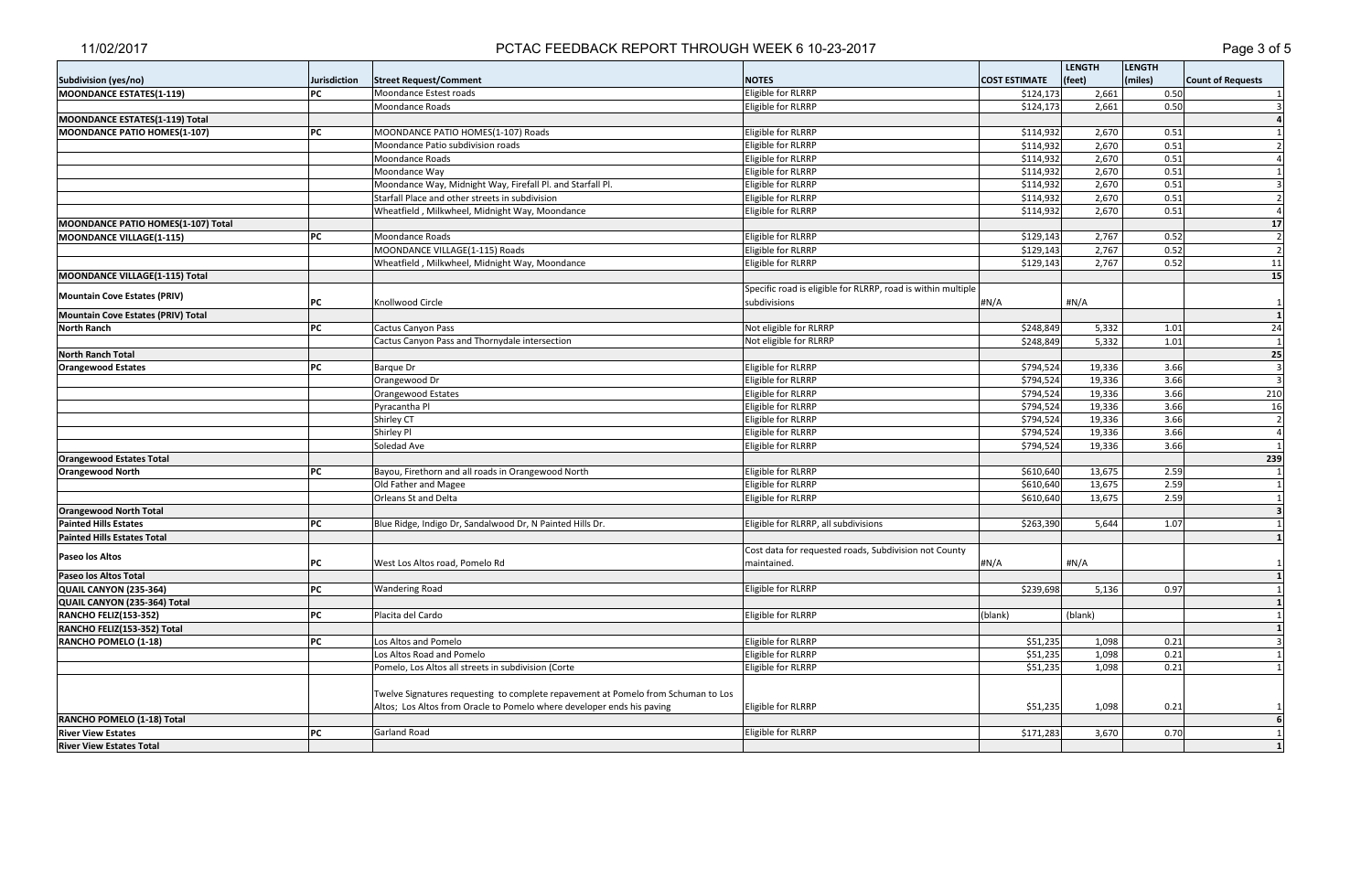|                                    |                     |                                                                                   |                                                              |                      | <b>LENGTH</b> | <b>LENGTH</b> |                          |
|------------------------------------|---------------------|-----------------------------------------------------------------------------------|--------------------------------------------------------------|----------------------|---------------|---------------|--------------------------|
| Subdivision (yes/no)               | <b>Jurisdiction</b> | <b>Street Request/Comment</b>                                                     | <b>NOTES</b>                                                 | <b>COST ESTIMATE</b> | (feet)        | (miles)       | <b>Count of Requests</b> |
| MOONDANCE ESTATES(1-119)           | <b>PC</b>           | Moondance Estest roads                                                            | Eligible for RLRRP                                           | \$124,173            | 2,661         | 0.50          |                          |
|                                    |                     | Moondance Roads                                                                   | Eligible for RLRRP                                           | \$124,173            | 2,661         | 0.50          |                          |
| MOONDANCE ESTATES(1-119) Total     |                     |                                                                                   |                                                              |                      |               |               |                          |
| MOONDANCE PATIO HOMES(1-107)       | PC                  | MOONDANCE PATIO HOMES(1-107) Roads                                                | Eligible for RLRRP                                           | \$114,932            | 2,670         | 0.51          |                          |
|                                    |                     | Moondance Patio subdivision roads                                                 | Eligible for RLRRP                                           | \$114,932            | 2,670         | 0.51          |                          |
|                                    |                     | Moondance Roads                                                                   | Eligible for RLRRP                                           | \$114,932            | 2,670         | 0.51          |                          |
|                                    |                     | Moondance Way                                                                     | Eligible for RLRRP                                           | \$114,932            | 2,670         | 0.51          |                          |
|                                    |                     | Moondance Way, Midnight Way, Firefall Pl. and Starfall Pl.                        | Eligible for RLRRP                                           | \$114,932            | 2,670         | 0.51          |                          |
|                                    |                     | Starfall Place and other streets in subdivision                                   | Eligible for RLRRP                                           | \$114,932            | 2,670         | 0.51          |                          |
|                                    |                     | Wheatfield, Milkwheel, Midnight Way, Moondance                                    | Eligible for RLRRP                                           | \$114,932            | 2,670         | 0.51          |                          |
| MOONDANCE PATIO HOMES(1-107) Total |                     |                                                                                   |                                                              |                      |               |               | 17                       |
| MOONDANCE VILLAGE(1-115)           | PC                  | Moondance Roads                                                                   | Eligible for RLRRP                                           | \$129,143            | 2,767         | 0.52          | $\overline{2}$           |
|                                    |                     | MOONDANCE VILLAGE(1-115) Roads                                                    | Eligible for RLRRP                                           | \$129,143            | 2,767         | 0.52          | $\overline{2}$           |
|                                    |                     | Wheatfield, Milkwheel, Midnight Way, Moondance                                    | Eligible for RLRRP                                           | \$129,143            | 2,767         | 0.52          | 11                       |
| MOONDANCE VILLAGE(1-115) Total     |                     |                                                                                   |                                                              |                      |               |               | 15                       |
|                                    |                     |                                                                                   | Specific road is eligible for RLRRP, road is within multiple |                      |               |               |                          |
| Mountain Cove Estates (PRIV)       | IPC.                | Knollwood Circle                                                                  | subdivisions                                                 | #N/A                 | #N/A          |               | $\mathbf{1}$             |
| Mountain Cove Estates (PRIV) Total |                     |                                                                                   |                                                              |                      |               |               |                          |
| <b>North Ranch</b>                 | <b>PC</b>           | Cactus Canyon Pass                                                                | Not eligible for RLRRP                                       | \$248,849            | 5,332         | 1.01          | 24                       |
|                                    |                     | Cactus Canyon Pass and Thornydale intersection                                    | Not eligible for RLRRP                                       | \$248,849            | 5,332         | 1.01          |                          |
| <b>North Ranch Total</b>           |                     |                                                                                   |                                                              |                      |               |               | 25                       |
| <b>Orangewood Estates</b>          | PC                  | <b>Barque Dr</b>                                                                  | Eligible for RLRRP                                           | \$794,524            | 19,336        | 3.66          |                          |
|                                    |                     | Orangewood Dr                                                                     | Eligible for RLRRP                                           | \$794,524            | 19,336        | 3.66          |                          |
|                                    |                     | Orangewood Estates                                                                | Eligible for RLRRP                                           | \$794,524            | 19,336        | 3.66          | 210                      |
|                                    |                     | Pyracantha Pl                                                                     | Eligible for RLRRP                                           | \$794,524            | 19,336        | 3.66          | 16                       |
|                                    |                     | Shirley CT                                                                        | Eligible for RLRRP                                           | \$794,524            | 19,336        | 3.66          |                          |
|                                    |                     | Shirley Pl                                                                        | Eligible for RLRRP                                           | \$794,524            | 19,336        | 3.66          | $\overline{a}$           |
|                                    |                     | Soledad Ave                                                                       | Eligible for RLRRP                                           | \$794,524            | 19,336        | 3.66          |                          |
| <b>Orangewood Estates Total</b>    |                     |                                                                                   |                                                              |                      |               |               | 239                      |
| <b>Orangewood North</b>            | PC                  | Bayou, Firethorn and all roads in Orangewood North                                | Eligible for RLRRP                                           | \$610,640            | 13,675        | 2.59          | $\overline{1}$           |
|                                    |                     | Old Father and Magee                                                              | Eligible for RLRRP                                           | \$610,640            | 13,675        | 2.59          |                          |
|                                    |                     | Orleans St and Delta                                                              | Eligible for RLRRP                                           | \$610,640            | 13,675        | 2.59          |                          |
| <b>Orangewood North Total</b>      |                     |                                                                                   |                                                              |                      |               |               |                          |
| <b>Painted Hills Estates</b>       | <b>PC</b>           | Blue Ridge, Indigo Dr, Sandalwood Dr, N Painted Hills Dr.                         | Eligible for RLRRP, all subdivisions                         | \$263,390            | 5,644         | 1.07          |                          |
| <b>Painted Hills Estates Total</b> |                     |                                                                                   |                                                              |                      |               |               |                          |
| <b>Paseo los Altos</b>             |                     |                                                                                   | Cost data for requested roads, Subdivision not County        |                      |               |               |                          |
|                                    | PC                  | West Los Altos road, Pomelo Rd                                                    | maintained.                                                  | #N/A                 | #N/A          |               |                          |
| Paseo los Altos Total              |                     |                                                                                   |                                                              |                      |               |               | $\mathbf{1}$             |
| QUAIL CANYON (235-364)             | PC                  | <b>Wandering Road</b>                                                             | Eligible for RLRRP                                           | \$239,698            | 5,136         | 0.97          |                          |
| QUAIL CANYON (235-364) Total       |                     |                                                                                   |                                                              |                      |               |               |                          |
| <b>RANCHO FELIZ(153-352)</b>       | PC                  | Placita del Cardo                                                                 | Eligible for RLRRP                                           | (blank)              | (blank)       |               |                          |
| RANCHO FELIZ(153-352) Total        |                     |                                                                                   |                                                              |                      |               |               |                          |
| RANCHO POMELO (1-18)               | PC                  | Los Altos and Pomelo                                                              | Eligible for RLRRP                                           | \$51,235             | 1,098         | 0.21          |                          |
|                                    |                     | Los Altos Road and Pomelo                                                         | Eligible for RLRRP                                           | \$51,235             | 1,098         | 0.21          |                          |
|                                    |                     | Pomelo, Los Altos all streets in subdivision (Corte                               | Eligible for RLRRP                                           | \$51,235             | 1,098         | 0.21          |                          |
|                                    |                     |                                                                                   |                                                              |                      |               |               |                          |
|                                    |                     | Twelve Signatures requesting to complete repavement at Pomelo from Schuman to Los |                                                              |                      |               |               |                          |
|                                    |                     | Altos; Los Altos from Oracle to Pomelo where developer ends his paving            | Eligible for RLRRP                                           | \$51,235             | 1,098         | 0.21          |                          |
| RANCHO POMELO (1-18) Total         |                     |                                                                                   |                                                              |                      |               |               |                          |
| <b>River View Estates</b>          | PC                  | Garland Road                                                                      | Eligible for RLRRP                                           | \$171,283            | 3,670         | 0.70          |                          |
| <b>River View Estates Total</b>    |                     |                                                                                   |                                                              |                      |               |               |                          |

# PCTAC FEEDBACK REPORT THROUGH WEEK 6 10-23-2017 **PEDITEL 100 CONTROLS 100 23 FM ASSESS**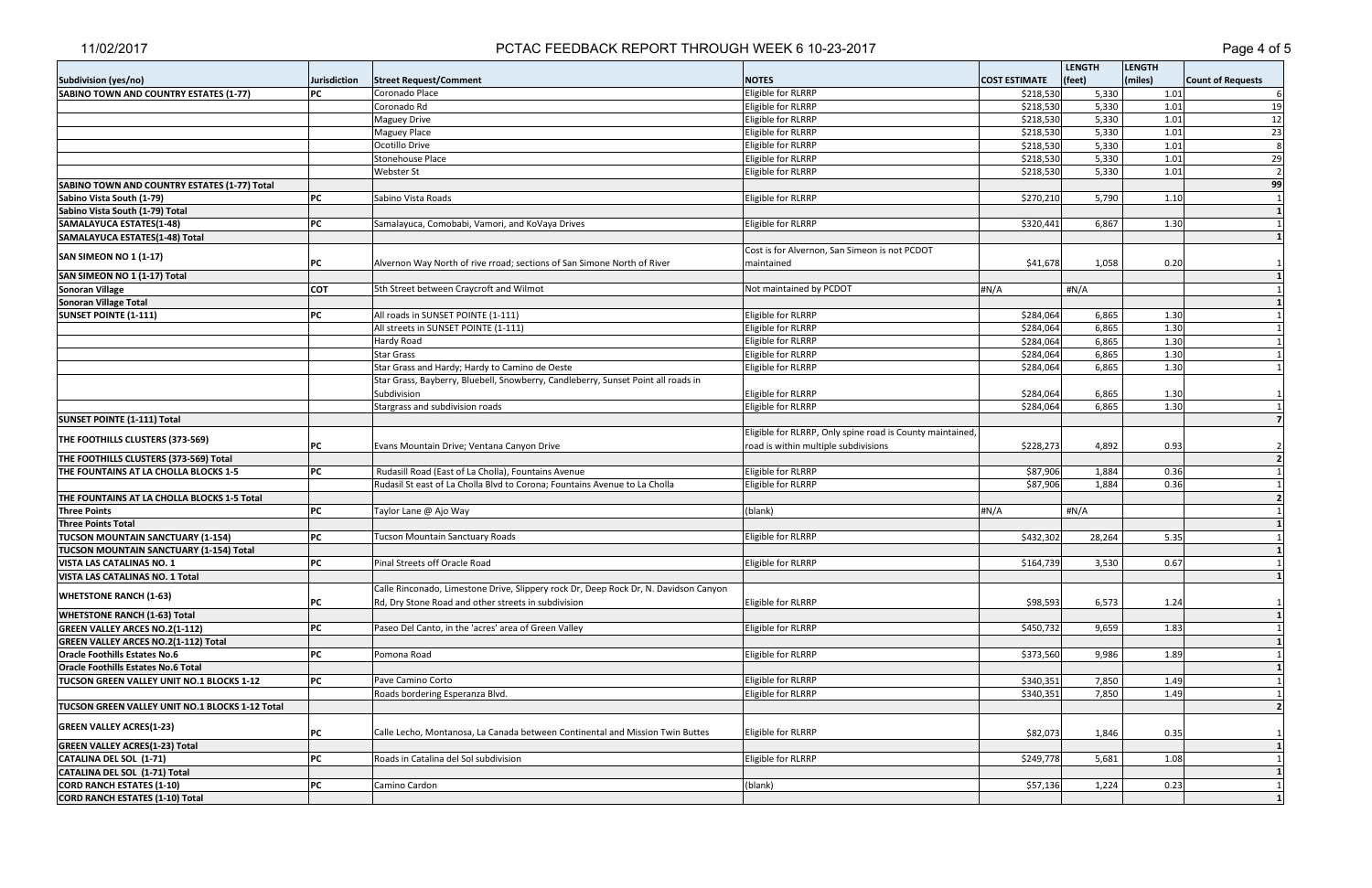| (miles)<br><b>Street Request/Comment</b><br>(feet)<br>Subdivision (yes/no)<br>Jurisdiction<br><b>NOTES</b><br><b>COST ESTIMATE</b><br><b>Count of Requests</b><br>Eligible for RLRRP<br>SABINO TOWN AND COUNTRY ESTATES (1-77)<br>Coronado Place<br>5,330<br>1.01<br>PС<br>\$218,530<br>Eligible for RLRRP<br>5,330<br>1.01<br>Coronado Rd<br>\$218,530<br>5,330<br><b>Maguey Drive</b><br>Eligible for RLRRP<br>\$218,530<br>1.01<br>\$218,530<br>5,330<br>1.01<br>Eligible for RLRRP<br><b>Maguey Place</b><br>5,330<br>1.01<br>Ocotillo Drive<br>Eligible for RLRRP<br>\$218,530<br>\$218,530<br>5,330<br>1.01<br>Stonehouse Place<br>Eligible for RLRRP<br>5,330<br>Eligible for RLRRP<br>\$218,530<br>1.01<br><b>Webster St</b><br>99<br>SABINO TOWN AND COUNTRY ESTATES (1-77) Total<br>PC<br>5,790<br>1.10<br>Sabino Vista Roads<br>Eligible for RLRRP<br>\$270,210<br>Sabino Vista South (1-79)<br>Sabino Vista South (1-79) Total<br>6,867<br>SAMALAYUCA ESTATES(1-48)<br>PC<br>Samalayuca, Comobabi, Vamori, and KoVaya Drives<br>Eligible for RLRRP<br>\$320,441<br>1.30<br>SAMALAYUCA ESTATES(1-48) Total<br>Cost is for Alvernon, San Simeon is not PCDOT<br>SAN SIMEON NO 1 (1-17)<br>\$41,678<br>Alvernon Way North of rive rroad; sections of San Simone North of River<br>maintained<br>1,058<br>0.20<br>PC<br>SAN SIMEON NO 1 (1-17) Total<br>5th Street between Craycroft and Wilmot<br>#N/A<br><b>Sonoran Village</b><br><b>COT</b><br>Not maintained by PCDOT<br>#N/A<br><b>Sonoran Village Total</b><br>All roads in SUNSET POINTE (1-111)<br>Eligible for RLRRP<br>6,865<br><b>SUNSET POINTE (1-111)</b><br>PC<br>\$284,064<br>1.30<br>Eligible for RLRRP<br>\$284,064<br>6,865<br>1.30<br>All streets in SUNSET POINTE (1-111)<br>6,865<br>1.30<br>Eligible for RLRRP<br>\$284,064<br>Hardy Road<br>Eligible for RLRRP<br>\$284,064<br>6,865<br>1.30<br><b>Star Grass</b><br>Star Grass and Hardy; Hardy to Camino de Oeste<br>Eligible for RLRRP<br>6,865<br>1.30<br>\$284,064<br>Star Grass, Bayberry, Bluebell, Snowberry, Candleberry, Sunset Point all roads in<br>Subdivision<br>Eligible for RLRRP<br>\$284,064<br>6,865<br>1.30<br>Stargrass and subdivision roads<br>Eligible for RLRRP<br>1.30<br>\$284,064<br>6,865<br><b>SUNSET POINTE (1-111) Total</b><br>Eligible for RLRRP, Only spine road is County maintained,<br>THE FOOTHILLS CLUSTERS (373-569)<br>road is within multiple subdivisions<br>\$228,273<br>4,892<br>PС<br>Evans Mountain Drive; Ventana Canyon Drive<br>0.93<br>THE FOOTHILLS CLUSTERS (373-569) Total<br>THE FOUNTAINS AT LA CHOLLA BLOCKS 1-5<br>PC<br>Rudasill Road (East of La Cholla), Fountains Avenue<br>Eligible for RLRRP<br>\$87,906<br>1,884<br>0.36<br>Rudasil St east of La Cholla Blvd to Corona; Fountains Avenue to La Cholla<br>Eligible for RLRRP<br>\$87,906<br>1,884<br>0.36<br>THE FOUNTAINS AT LA CHOLLA BLOCKS 1-5 Total<br><b>Three Points</b><br>PC<br>(blank)<br>#N/A<br>#N/A<br>Taylor Lane @ Ajo Way<br><b>Three Points Total</b><br><b>TUCSON MOUNTAIN SANCTUARY (1-154)</b><br><b>Tucson Mountain Sanctuary Roads</b><br>Eligible for RLRRP<br>\$432,302<br>28,264<br>5.35<br>PC<br><b>TUCSON MOUNTAIN SANCTUARY (1-154) Total</b><br>Pinal Streets off Oracle Road<br>\$164,739<br>3,530<br>Eligible for RLRRP<br>0.67<br> PC<br>VISTA LAS CATALINAS NO. 1<br>VISTA LAS CATALINAS NO. 1 Total<br>Calle Rinconado, Limestone Drive, Slippery rock Dr, Deep Rock Dr, N. Davidson Canyon<br><b>WHETSTONE RANCH (1-63)</b><br>РC<br>Eligible for RLRRP<br>\$98,593<br>6,573<br>1.24<br>Rd, Dry Stone Road and other streets in subdivision<br><b>WHETSTONE RANCH (1-63) Total</b><br>PC<br>Paseo Del Canto, in the 'acres' area of Green Valley<br>Eligible for RLRRP<br>\$450,732<br>9,659<br>1.83<br><b>GREEN VALLEY ARCES NO.2(1-112)</b><br><b>GREEN VALLEY ARCES NO.2(1-112) Total</b><br>Eligible for RLRRP<br>PC<br>Pomona Road<br>\$373,560<br>9,986<br>1.89<br><b>Oracle Foothills Estates No.6</b><br>Oracle Foothills Estates No.6 Total<br>Eligible for RLRRP<br>7,850<br>PC<br>Pave Camino Corto<br>\$340,351<br>1.49<br><b>TUCSON GREEN VALLEY UNIT NO.1 BLOCKS 1-12</b><br>Roads bordering Esperanza Blvd.<br>Eligible for RLRRP<br>7,850<br>\$340,351<br>1.49<br>TUCSON GREEN VALLEY UNIT NO.1 BLOCKS 1-12 Total<br><b>GREEN VALLEY ACRES(1-23)</b><br>Eligible for RLRRP<br>\$82,073<br>1,846<br>0.35<br>PC<br>Calle Lecho, Montanosa, La Canada between Continental and Mission Twin Buttes<br><b>GREEN VALLEY ACRES(1-23) Total</b><br>PC<br>Roads in Catalina del Sol subdivision<br>Eligible for RLRRP<br>\$249,778<br>5,681<br>1.08<br>CATALINA DEL SOL (1-71)<br>CATALINA DEL SOL (1-71) Total<br>PC<br>(blank)<br>\$57,136<br>1,224<br>0.23<br><b>CORD RANCH ESTATES (1-10)</b><br>Camino Cardon<br>CORD RANCH ESTATES (1-10) Total |  |  | <b>LENGTH</b> |  | <b>LENGTH</b> |                |
|---------------------------------------------------------------------------------------------------------------------------------------------------------------------------------------------------------------------------------------------------------------------------------------------------------------------------------------------------------------------------------------------------------------------------------------------------------------------------------------------------------------------------------------------------------------------------------------------------------------------------------------------------------------------------------------------------------------------------------------------------------------------------------------------------------------------------------------------------------------------------------------------------------------------------------------------------------------------------------------------------------------------------------------------------------------------------------------------------------------------------------------------------------------------------------------------------------------------------------------------------------------------------------------------------------------------------------------------------------------------------------------------------------------------------------------------------------------------------------------------------------------------------------------------------------------------------------------------------------------------------------------------------------------------------------------------------------------------------------------------------------------------------------------------------------------------------------------------------------------------------------------------------------------------------------------------------------------------------------------------------------------------------------------------------------------------------------------------------------------------------------------------------------------------------------------------------------------------------------------------------------------------------------------------------------------------------------------------------------------------------------------------------------------------------------------------------------------------------------------------------------------------------------------------------------------------------------------------------------------------------------------------------------------------------------------------------------------------------------------------------------------------------------------------------------------------------------------------------------------------------------------------------------------------------------------------------------------------------------------------------------------------------------------------------------------------------------------------------------------------------------------------------------------------------------------------------------------------------------------------------------------------------------------------------------------------------------------------------------------------------------------------------------------------------------------------------------------------------------------------------------------------------------------------------------------------------------------------------------------------------------------------------------------------------------------------------------------------------------------------------------------------------------------------------------------------------------------------------------------------------------------------------------------------------------------------------------------------------------------------------------------------------------------------------------------------------------------------------------------------------------------------------------------------------------------------------------------------------------------------------------------------------------------------------------------------------------------------------------------------------------------------------------------------------------------------------------------------------------------------------------------------------------------------------------------------------------------------------------------------------------------------------------------------------------------------------------------------------------------------------------------------------------------------------------------------------------------------------|--|--|---------------|--|---------------|----------------|
|                                                                                                                                                                                                                                                                                                                                                                                                                                                                                                                                                                                                                                                                                                                                                                                                                                                                                                                                                                                                                                                                                                                                                                                                                                                                                                                                                                                                                                                                                                                                                                                                                                                                                                                                                                                                                                                                                                                                                                                                                                                                                                                                                                                                                                                                                                                                                                                                                                                                                                                                                                                                                                                                                                                                                                                                                                                                                                                                                                                                                                                                                                                                                                                                                                                                                                                                                                                                                                                                                                                                                                                                                                                                                                                                                                                                                                                                                                                                                                                                                                                                                                                                                                                                                                                                                                                                                                                                                                                                                                                                                                                                                                                                                                                                                                                                                                                   |  |  |               |  |               |                |
|                                                                                                                                                                                                                                                                                                                                                                                                                                                                                                                                                                                                                                                                                                                                                                                                                                                                                                                                                                                                                                                                                                                                                                                                                                                                                                                                                                                                                                                                                                                                                                                                                                                                                                                                                                                                                                                                                                                                                                                                                                                                                                                                                                                                                                                                                                                                                                                                                                                                                                                                                                                                                                                                                                                                                                                                                                                                                                                                                                                                                                                                                                                                                                                                                                                                                                                                                                                                                                                                                                                                                                                                                                                                                                                                                                                                                                                                                                                                                                                                                                                                                                                                                                                                                                                                                                                                                                                                                                                                                                                                                                                                                                                                                                                                                                                                                                                   |  |  |               |  |               |                |
|                                                                                                                                                                                                                                                                                                                                                                                                                                                                                                                                                                                                                                                                                                                                                                                                                                                                                                                                                                                                                                                                                                                                                                                                                                                                                                                                                                                                                                                                                                                                                                                                                                                                                                                                                                                                                                                                                                                                                                                                                                                                                                                                                                                                                                                                                                                                                                                                                                                                                                                                                                                                                                                                                                                                                                                                                                                                                                                                                                                                                                                                                                                                                                                                                                                                                                                                                                                                                                                                                                                                                                                                                                                                                                                                                                                                                                                                                                                                                                                                                                                                                                                                                                                                                                                                                                                                                                                                                                                                                                                                                                                                                                                                                                                                                                                                                                                   |  |  |               |  |               | 19             |
|                                                                                                                                                                                                                                                                                                                                                                                                                                                                                                                                                                                                                                                                                                                                                                                                                                                                                                                                                                                                                                                                                                                                                                                                                                                                                                                                                                                                                                                                                                                                                                                                                                                                                                                                                                                                                                                                                                                                                                                                                                                                                                                                                                                                                                                                                                                                                                                                                                                                                                                                                                                                                                                                                                                                                                                                                                                                                                                                                                                                                                                                                                                                                                                                                                                                                                                                                                                                                                                                                                                                                                                                                                                                                                                                                                                                                                                                                                                                                                                                                                                                                                                                                                                                                                                                                                                                                                                                                                                                                                                                                                                                                                                                                                                                                                                                                                                   |  |  |               |  |               | 12             |
|                                                                                                                                                                                                                                                                                                                                                                                                                                                                                                                                                                                                                                                                                                                                                                                                                                                                                                                                                                                                                                                                                                                                                                                                                                                                                                                                                                                                                                                                                                                                                                                                                                                                                                                                                                                                                                                                                                                                                                                                                                                                                                                                                                                                                                                                                                                                                                                                                                                                                                                                                                                                                                                                                                                                                                                                                                                                                                                                                                                                                                                                                                                                                                                                                                                                                                                                                                                                                                                                                                                                                                                                                                                                                                                                                                                                                                                                                                                                                                                                                                                                                                                                                                                                                                                                                                                                                                                                                                                                                                                                                                                                                                                                                                                                                                                                                                                   |  |  |               |  |               | 23             |
|                                                                                                                                                                                                                                                                                                                                                                                                                                                                                                                                                                                                                                                                                                                                                                                                                                                                                                                                                                                                                                                                                                                                                                                                                                                                                                                                                                                                                                                                                                                                                                                                                                                                                                                                                                                                                                                                                                                                                                                                                                                                                                                                                                                                                                                                                                                                                                                                                                                                                                                                                                                                                                                                                                                                                                                                                                                                                                                                                                                                                                                                                                                                                                                                                                                                                                                                                                                                                                                                                                                                                                                                                                                                                                                                                                                                                                                                                                                                                                                                                                                                                                                                                                                                                                                                                                                                                                                                                                                                                                                                                                                                                                                                                                                                                                                                                                                   |  |  |               |  |               | 8              |
|                                                                                                                                                                                                                                                                                                                                                                                                                                                                                                                                                                                                                                                                                                                                                                                                                                                                                                                                                                                                                                                                                                                                                                                                                                                                                                                                                                                                                                                                                                                                                                                                                                                                                                                                                                                                                                                                                                                                                                                                                                                                                                                                                                                                                                                                                                                                                                                                                                                                                                                                                                                                                                                                                                                                                                                                                                                                                                                                                                                                                                                                                                                                                                                                                                                                                                                                                                                                                                                                                                                                                                                                                                                                                                                                                                                                                                                                                                                                                                                                                                                                                                                                                                                                                                                                                                                                                                                                                                                                                                                                                                                                                                                                                                                                                                                                                                                   |  |  |               |  |               | 29             |
|                                                                                                                                                                                                                                                                                                                                                                                                                                                                                                                                                                                                                                                                                                                                                                                                                                                                                                                                                                                                                                                                                                                                                                                                                                                                                                                                                                                                                                                                                                                                                                                                                                                                                                                                                                                                                                                                                                                                                                                                                                                                                                                                                                                                                                                                                                                                                                                                                                                                                                                                                                                                                                                                                                                                                                                                                                                                                                                                                                                                                                                                                                                                                                                                                                                                                                                                                                                                                                                                                                                                                                                                                                                                                                                                                                                                                                                                                                                                                                                                                                                                                                                                                                                                                                                                                                                                                                                                                                                                                                                                                                                                                                                                                                                                                                                                                                                   |  |  |               |  |               | $\overline{2}$ |
|                                                                                                                                                                                                                                                                                                                                                                                                                                                                                                                                                                                                                                                                                                                                                                                                                                                                                                                                                                                                                                                                                                                                                                                                                                                                                                                                                                                                                                                                                                                                                                                                                                                                                                                                                                                                                                                                                                                                                                                                                                                                                                                                                                                                                                                                                                                                                                                                                                                                                                                                                                                                                                                                                                                                                                                                                                                                                                                                                                                                                                                                                                                                                                                                                                                                                                                                                                                                                                                                                                                                                                                                                                                                                                                                                                                                                                                                                                                                                                                                                                                                                                                                                                                                                                                                                                                                                                                                                                                                                                                                                                                                                                                                                                                                                                                                                                                   |  |  |               |  |               |                |
|                                                                                                                                                                                                                                                                                                                                                                                                                                                                                                                                                                                                                                                                                                                                                                                                                                                                                                                                                                                                                                                                                                                                                                                                                                                                                                                                                                                                                                                                                                                                                                                                                                                                                                                                                                                                                                                                                                                                                                                                                                                                                                                                                                                                                                                                                                                                                                                                                                                                                                                                                                                                                                                                                                                                                                                                                                                                                                                                                                                                                                                                                                                                                                                                                                                                                                                                                                                                                                                                                                                                                                                                                                                                                                                                                                                                                                                                                                                                                                                                                                                                                                                                                                                                                                                                                                                                                                                                                                                                                                                                                                                                                                                                                                                                                                                                                                                   |  |  |               |  |               |                |
|                                                                                                                                                                                                                                                                                                                                                                                                                                                                                                                                                                                                                                                                                                                                                                                                                                                                                                                                                                                                                                                                                                                                                                                                                                                                                                                                                                                                                                                                                                                                                                                                                                                                                                                                                                                                                                                                                                                                                                                                                                                                                                                                                                                                                                                                                                                                                                                                                                                                                                                                                                                                                                                                                                                                                                                                                                                                                                                                                                                                                                                                                                                                                                                                                                                                                                                                                                                                                                                                                                                                                                                                                                                                                                                                                                                                                                                                                                                                                                                                                                                                                                                                                                                                                                                                                                                                                                                                                                                                                                                                                                                                                                                                                                                                                                                                                                                   |  |  |               |  |               |                |
|                                                                                                                                                                                                                                                                                                                                                                                                                                                                                                                                                                                                                                                                                                                                                                                                                                                                                                                                                                                                                                                                                                                                                                                                                                                                                                                                                                                                                                                                                                                                                                                                                                                                                                                                                                                                                                                                                                                                                                                                                                                                                                                                                                                                                                                                                                                                                                                                                                                                                                                                                                                                                                                                                                                                                                                                                                                                                                                                                                                                                                                                                                                                                                                                                                                                                                                                                                                                                                                                                                                                                                                                                                                                                                                                                                                                                                                                                                                                                                                                                                                                                                                                                                                                                                                                                                                                                                                                                                                                                                                                                                                                                                                                                                                                                                                                                                                   |  |  |               |  |               |                |
|                                                                                                                                                                                                                                                                                                                                                                                                                                                                                                                                                                                                                                                                                                                                                                                                                                                                                                                                                                                                                                                                                                                                                                                                                                                                                                                                                                                                                                                                                                                                                                                                                                                                                                                                                                                                                                                                                                                                                                                                                                                                                                                                                                                                                                                                                                                                                                                                                                                                                                                                                                                                                                                                                                                                                                                                                                                                                                                                                                                                                                                                                                                                                                                                                                                                                                                                                                                                                                                                                                                                                                                                                                                                                                                                                                                                                                                                                                                                                                                                                                                                                                                                                                                                                                                                                                                                                                                                                                                                                                                                                                                                                                                                                                                                                                                                                                                   |  |  |               |  |               |                |
|                                                                                                                                                                                                                                                                                                                                                                                                                                                                                                                                                                                                                                                                                                                                                                                                                                                                                                                                                                                                                                                                                                                                                                                                                                                                                                                                                                                                                                                                                                                                                                                                                                                                                                                                                                                                                                                                                                                                                                                                                                                                                                                                                                                                                                                                                                                                                                                                                                                                                                                                                                                                                                                                                                                                                                                                                                                                                                                                                                                                                                                                                                                                                                                                                                                                                                                                                                                                                                                                                                                                                                                                                                                                                                                                                                                                                                                                                                                                                                                                                                                                                                                                                                                                                                                                                                                                                                                                                                                                                                                                                                                                                                                                                                                                                                                                                                                   |  |  |               |  |               |                |
|                                                                                                                                                                                                                                                                                                                                                                                                                                                                                                                                                                                                                                                                                                                                                                                                                                                                                                                                                                                                                                                                                                                                                                                                                                                                                                                                                                                                                                                                                                                                                                                                                                                                                                                                                                                                                                                                                                                                                                                                                                                                                                                                                                                                                                                                                                                                                                                                                                                                                                                                                                                                                                                                                                                                                                                                                                                                                                                                                                                                                                                                                                                                                                                                                                                                                                                                                                                                                                                                                                                                                                                                                                                                                                                                                                                                                                                                                                                                                                                                                                                                                                                                                                                                                                                                                                                                                                                                                                                                                                                                                                                                                                                                                                                                                                                                                                                   |  |  |               |  |               |                |
|                                                                                                                                                                                                                                                                                                                                                                                                                                                                                                                                                                                                                                                                                                                                                                                                                                                                                                                                                                                                                                                                                                                                                                                                                                                                                                                                                                                                                                                                                                                                                                                                                                                                                                                                                                                                                                                                                                                                                                                                                                                                                                                                                                                                                                                                                                                                                                                                                                                                                                                                                                                                                                                                                                                                                                                                                                                                                                                                                                                                                                                                                                                                                                                                                                                                                                                                                                                                                                                                                                                                                                                                                                                                                                                                                                                                                                                                                                                                                                                                                                                                                                                                                                                                                                                                                                                                                                                                                                                                                                                                                                                                                                                                                                                                                                                                                                                   |  |  |               |  |               |                |
|                                                                                                                                                                                                                                                                                                                                                                                                                                                                                                                                                                                                                                                                                                                                                                                                                                                                                                                                                                                                                                                                                                                                                                                                                                                                                                                                                                                                                                                                                                                                                                                                                                                                                                                                                                                                                                                                                                                                                                                                                                                                                                                                                                                                                                                                                                                                                                                                                                                                                                                                                                                                                                                                                                                                                                                                                                                                                                                                                                                                                                                                                                                                                                                                                                                                                                                                                                                                                                                                                                                                                                                                                                                                                                                                                                                                                                                                                                                                                                                                                                                                                                                                                                                                                                                                                                                                                                                                                                                                                                                                                                                                                                                                                                                                                                                                                                                   |  |  |               |  |               |                |
|                                                                                                                                                                                                                                                                                                                                                                                                                                                                                                                                                                                                                                                                                                                                                                                                                                                                                                                                                                                                                                                                                                                                                                                                                                                                                                                                                                                                                                                                                                                                                                                                                                                                                                                                                                                                                                                                                                                                                                                                                                                                                                                                                                                                                                                                                                                                                                                                                                                                                                                                                                                                                                                                                                                                                                                                                                                                                                                                                                                                                                                                                                                                                                                                                                                                                                                                                                                                                                                                                                                                                                                                                                                                                                                                                                                                                                                                                                                                                                                                                                                                                                                                                                                                                                                                                                                                                                                                                                                                                                                                                                                                                                                                                                                                                                                                                                                   |  |  |               |  |               |                |
|                                                                                                                                                                                                                                                                                                                                                                                                                                                                                                                                                                                                                                                                                                                                                                                                                                                                                                                                                                                                                                                                                                                                                                                                                                                                                                                                                                                                                                                                                                                                                                                                                                                                                                                                                                                                                                                                                                                                                                                                                                                                                                                                                                                                                                                                                                                                                                                                                                                                                                                                                                                                                                                                                                                                                                                                                                                                                                                                                                                                                                                                                                                                                                                                                                                                                                                                                                                                                                                                                                                                                                                                                                                                                                                                                                                                                                                                                                                                                                                                                                                                                                                                                                                                                                                                                                                                                                                                                                                                                                                                                                                                                                                                                                                                                                                                                                                   |  |  |               |  |               |                |
|                                                                                                                                                                                                                                                                                                                                                                                                                                                                                                                                                                                                                                                                                                                                                                                                                                                                                                                                                                                                                                                                                                                                                                                                                                                                                                                                                                                                                                                                                                                                                                                                                                                                                                                                                                                                                                                                                                                                                                                                                                                                                                                                                                                                                                                                                                                                                                                                                                                                                                                                                                                                                                                                                                                                                                                                                                                                                                                                                                                                                                                                                                                                                                                                                                                                                                                                                                                                                                                                                                                                                                                                                                                                                                                                                                                                                                                                                                                                                                                                                                                                                                                                                                                                                                                                                                                                                                                                                                                                                                                                                                                                                                                                                                                                                                                                                                                   |  |  |               |  |               |                |
|                                                                                                                                                                                                                                                                                                                                                                                                                                                                                                                                                                                                                                                                                                                                                                                                                                                                                                                                                                                                                                                                                                                                                                                                                                                                                                                                                                                                                                                                                                                                                                                                                                                                                                                                                                                                                                                                                                                                                                                                                                                                                                                                                                                                                                                                                                                                                                                                                                                                                                                                                                                                                                                                                                                                                                                                                                                                                                                                                                                                                                                                                                                                                                                                                                                                                                                                                                                                                                                                                                                                                                                                                                                                                                                                                                                                                                                                                                                                                                                                                                                                                                                                                                                                                                                                                                                                                                                                                                                                                                                                                                                                                                                                                                                                                                                                                                                   |  |  |               |  |               |                |
|                                                                                                                                                                                                                                                                                                                                                                                                                                                                                                                                                                                                                                                                                                                                                                                                                                                                                                                                                                                                                                                                                                                                                                                                                                                                                                                                                                                                                                                                                                                                                                                                                                                                                                                                                                                                                                                                                                                                                                                                                                                                                                                                                                                                                                                                                                                                                                                                                                                                                                                                                                                                                                                                                                                                                                                                                                                                                                                                                                                                                                                                                                                                                                                                                                                                                                                                                                                                                                                                                                                                                                                                                                                                                                                                                                                                                                                                                                                                                                                                                                                                                                                                                                                                                                                                                                                                                                                                                                                                                                                                                                                                                                                                                                                                                                                                                                                   |  |  |               |  |               |                |
|                                                                                                                                                                                                                                                                                                                                                                                                                                                                                                                                                                                                                                                                                                                                                                                                                                                                                                                                                                                                                                                                                                                                                                                                                                                                                                                                                                                                                                                                                                                                                                                                                                                                                                                                                                                                                                                                                                                                                                                                                                                                                                                                                                                                                                                                                                                                                                                                                                                                                                                                                                                                                                                                                                                                                                                                                                                                                                                                                                                                                                                                                                                                                                                                                                                                                                                                                                                                                                                                                                                                                                                                                                                                                                                                                                                                                                                                                                                                                                                                                                                                                                                                                                                                                                                                                                                                                                                                                                                                                                                                                                                                                                                                                                                                                                                                                                                   |  |  |               |  |               |                |
|                                                                                                                                                                                                                                                                                                                                                                                                                                                                                                                                                                                                                                                                                                                                                                                                                                                                                                                                                                                                                                                                                                                                                                                                                                                                                                                                                                                                                                                                                                                                                                                                                                                                                                                                                                                                                                                                                                                                                                                                                                                                                                                                                                                                                                                                                                                                                                                                                                                                                                                                                                                                                                                                                                                                                                                                                                                                                                                                                                                                                                                                                                                                                                                                                                                                                                                                                                                                                                                                                                                                                                                                                                                                                                                                                                                                                                                                                                                                                                                                                                                                                                                                                                                                                                                                                                                                                                                                                                                                                                                                                                                                                                                                                                                                                                                                                                                   |  |  |               |  |               |                |
|                                                                                                                                                                                                                                                                                                                                                                                                                                                                                                                                                                                                                                                                                                                                                                                                                                                                                                                                                                                                                                                                                                                                                                                                                                                                                                                                                                                                                                                                                                                                                                                                                                                                                                                                                                                                                                                                                                                                                                                                                                                                                                                                                                                                                                                                                                                                                                                                                                                                                                                                                                                                                                                                                                                                                                                                                                                                                                                                                                                                                                                                                                                                                                                                                                                                                                                                                                                                                                                                                                                                                                                                                                                                                                                                                                                                                                                                                                                                                                                                                                                                                                                                                                                                                                                                                                                                                                                                                                                                                                                                                                                                                                                                                                                                                                                                                                                   |  |  |               |  |               |                |
|                                                                                                                                                                                                                                                                                                                                                                                                                                                                                                                                                                                                                                                                                                                                                                                                                                                                                                                                                                                                                                                                                                                                                                                                                                                                                                                                                                                                                                                                                                                                                                                                                                                                                                                                                                                                                                                                                                                                                                                                                                                                                                                                                                                                                                                                                                                                                                                                                                                                                                                                                                                                                                                                                                                                                                                                                                                                                                                                                                                                                                                                                                                                                                                                                                                                                                                                                                                                                                                                                                                                                                                                                                                                                                                                                                                                                                                                                                                                                                                                                                                                                                                                                                                                                                                                                                                                                                                                                                                                                                                                                                                                                                                                                                                                                                                                                                                   |  |  |               |  |               |                |
|                                                                                                                                                                                                                                                                                                                                                                                                                                                                                                                                                                                                                                                                                                                                                                                                                                                                                                                                                                                                                                                                                                                                                                                                                                                                                                                                                                                                                                                                                                                                                                                                                                                                                                                                                                                                                                                                                                                                                                                                                                                                                                                                                                                                                                                                                                                                                                                                                                                                                                                                                                                                                                                                                                                                                                                                                                                                                                                                                                                                                                                                                                                                                                                                                                                                                                                                                                                                                                                                                                                                                                                                                                                                                                                                                                                                                                                                                                                                                                                                                                                                                                                                                                                                                                                                                                                                                                                                                                                                                                                                                                                                                                                                                                                                                                                                                                                   |  |  |               |  |               |                |
|                                                                                                                                                                                                                                                                                                                                                                                                                                                                                                                                                                                                                                                                                                                                                                                                                                                                                                                                                                                                                                                                                                                                                                                                                                                                                                                                                                                                                                                                                                                                                                                                                                                                                                                                                                                                                                                                                                                                                                                                                                                                                                                                                                                                                                                                                                                                                                                                                                                                                                                                                                                                                                                                                                                                                                                                                                                                                                                                                                                                                                                                                                                                                                                                                                                                                                                                                                                                                                                                                                                                                                                                                                                                                                                                                                                                                                                                                                                                                                                                                                                                                                                                                                                                                                                                                                                                                                                                                                                                                                                                                                                                                                                                                                                                                                                                                                                   |  |  |               |  |               |                |
|                                                                                                                                                                                                                                                                                                                                                                                                                                                                                                                                                                                                                                                                                                                                                                                                                                                                                                                                                                                                                                                                                                                                                                                                                                                                                                                                                                                                                                                                                                                                                                                                                                                                                                                                                                                                                                                                                                                                                                                                                                                                                                                                                                                                                                                                                                                                                                                                                                                                                                                                                                                                                                                                                                                                                                                                                                                                                                                                                                                                                                                                                                                                                                                                                                                                                                                                                                                                                                                                                                                                                                                                                                                                                                                                                                                                                                                                                                                                                                                                                                                                                                                                                                                                                                                                                                                                                                                                                                                                                                                                                                                                                                                                                                                                                                                                                                                   |  |  |               |  |               |                |
|                                                                                                                                                                                                                                                                                                                                                                                                                                                                                                                                                                                                                                                                                                                                                                                                                                                                                                                                                                                                                                                                                                                                                                                                                                                                                                                                                                                                                                                                                                                                                                                                                                                                                                                                                                                                                                                                                                                                                                                                                                                                                                                                                                                                                                                                                                                                                                                                                                                                                                                                                                                                                                                                                                                                                                                                                                                                                                                                                                                                                                                                                                                                                                                                                                                                                                                                                                                                                                                                                                                                                                                                                                                                                                                                                                                                                                                                                                                                                                                                                                                                                                                                                                                                                                                                                                                                                                                                                                                                                                                                                                                                                                                                                                                                                                                                                                                   |  |  |               |  |               |                |
|                                                                                                                                                                                                                                                                                                                                                                                                                                                                                                                                                                                                                                                                                                                                                                                                                                                                                                                                                                                                                                                                                                                                                                                                                                                                                                                                                                                                                                                                                                                                                                                                                                                                                                                                                                                                                                                                                                                                                                                                                                                                                                                                                                                                                                                                                                                                                                                                                                                                                                                                                                                                                                                                                                                                                                                                                                                                                                                                                                                                                                                                                                                                                                                                                                                                                                                                                                                                                                                                                                                                                                                                                                                                                                                                                                                                                                                                                                                                                                                                                                                                                                                                                                                                                                                                                                                                                                                                                                                                                                                                                                                                                                                                                                                                                                                                                                                   |  |  |               |  |               |                |
|                                                                                                                                                                                                                                                                                                                                                                                                                                                                                                                                                                                                                                                                                                                                                                                                                                                                                                                                                                                                                                                                                                                                                                                                                                                                                                                                                                                                                                                                                                                                                                                                                                                                                                                                                                                                                                                                                                                                                                                                                                                                                                                                                                                                                                                                                                                                                                                                                                                                                                                                                                                                                                                                                                                                                                                                                                                                                                                                                                                                                                                                                                                                                                                                                                                                                                                                                                                                                                                                                                                                                                                                                                                                                                                                                                                                                                                                                                                                                                                                                                                                                                                                                                                                                                                                                                                                                                                                                                                                                                                                                                                                                                                                                                                                                                                                                                                   |  |  |               |  |               |                |
|                                                                                                                                                                                                                                                                                                                                                                                                                                                                                                                                                                                                                                                                                                                                                                                                                                                                                                                                                                                                                                                                                                                                                                                                                                                                                                                                                                                                                                                                                                                                                                                                                                                                                                                                                                                                                                                                                                                                                                                                                                                                                                                                                                                                                                                                                                                                                                                                                                                                                                                                                                                                                                                                                                                                                                                                                                                                                                                                                                                                                                                                                                                                                                                                                                                                                                                                                                                                                                                                                                                                                                                                                                                                                                                                                                                                                                                                                                                                                                                                                                                                                                                                                                                                                                                                                                                                                                                                                                                                                                                                                                                                                                                                                                                                                                                                                                                   |  |  |               |  |               |                |
|                                                                                                                                                                                                                                                                                                                                                                                                                                                                                                                                                                                                                                                                                                                                                                                                                                                                                                                                                                                                                                                                                                                                                                                                                                                                                                                                                                                                                                                                                                                                                                                                                                                                                                                                                                                                                                                                                                                                                                                                                                                                                                                                                                                                                                                                                                                                                                                                                                                                                                                                                                                                                                                                                                                                                                                                                                                                                                                                                                                                                                                                                                                                                                                                                                                                                                                                                                                                                                                                                                                                                                                                                                                                                                                                                                                                                                                                                                                                                                                                                                                                                                                                                                                                                                                                                                                                                                                                                                                                                                                                                                                                                                                                                                                                                                                                                                                   |  |  |               |  |               |                |
|                                                                                                                                                                                                                                                                                                                                                                                                                                                                                                                                                                                                                                                                                                                                                                                                                                                                                                                                                                                                                                                                                                                                                                                                                                                                                                                                                                                                                                                                                                                                                                                                                                                                                                                                                                                                                                                                                                                                                                                                                                                                                                                                                                                                                                                                                                                                                                                                                                                                                                                                                                                                                                                                                                                                                                                                                                                                                                                                                                                                                                                                                                                                                                                                                                                                                                                                                                                                                                                                                                                                                                                                                                                                                                                                                                                                                                                                                                                                                                                                                                                                                                                                                                                                                                                                                                                                                                                                                                                                                                                                                                                                                                                                                                                                                                                                                                                   |  |  |               |  |               |                |
|                                                                                                                                                                                                                                                                                                                                                                                                                                                                                                                                                                                                                                                                                                                                                                                                                                                                                                                                                                                                                                                                                                                                                                                                                                                                                                                                                                                                                                                                                                                                                                                                                                                                                                                                                                                                                                                                                                                                                                                                                                                                                                                                                                                                                                                                                                                                                                                                                                                                                                                                                                                                                                                                                                                                                                                                                                                                                                                                                                                                                                                                                                                                                                                                                                                                                                                                                                                                                                                                                                                                                                                                                                                                                                                                                                                                                                                                                                                                                                                                                                                                                                                                                                                                                                                                                                                                                                                                                                                                                                                                                                                                                                                                                                                                                                                                                                                   |  |  |               |  |               |                |
|                                                                                                                                                                                                                                                                                                                                                                                                                                                                                                                                                                                                                                                                                                                                                                                                                                                                                                                                                                                                                                                                                                                                                                                                                                                                                                                                                                                                                                                                                                                                                                                                                                                                                                                                                                                                                                                                                                                                                                                                                                                                                                                                                                                                                                                                                                                                                                                                                                                                                                                                                                                                                                                                                                                                                                                                                                                                                                                                                                                                                                                                                                                                                                                                                                                                                                                                                                                                                                                                                                                                                                                                                                                                                                                                                                                                                                                                                                                                                                                                                                                                                                                                                                                                                                                                                                                                                                                                                                                                                                                                                                                                                                                                                                                                                                                                                                                   |  |  |               |  |               |                |
|                                                                                                                                                                                                                                                                                                                                                                                                                                                                                                                                                                                                                                                                                                                                                                                                                                                                                                                                                                                                                                                                                                                                                                                                                                                                                                                                                                                                                                                                                                                                                                                                                                                                                                                                                                                                                                                                                                                                                                                                                                                                                                                                                                                                                                                                                                                                                                                                                                                                                                                                                                                                                                                                                                                                                                                                                                                                                                                                                                                                                                                                                                                                                                                                                                                                                                                                                                                                                                                                                                                                                                                                                                                                                                                                                                                                                                                                                                                                                                                                                                                                                                                                                                                                                                                                                                                                                                                                                                                                                                                                                                                                                                                                                                                                                                                                                                                   |  |  |               |  |               |                |
|                                                                                                                                                                                                                                                                                                                                                                                                                                                                                                                                                                                                                                                                                                                                                                                                                                                                                                                                                                                                                                                                                                                                                                                                                                                                                                                                                                                                                                                                                                                                                                                                                                                                                                                                                                                                                                                                                                                                                                                                                                                                                                                                                                                                                                                                                                                                                                                                                                                                                                                                                                                                                                                                                                                                                                                                                                                                                                                                                                                                                                                                                                                                                                                                                                                                                                                                                                                                                                                                                                                                                                                                                                                                                                                                                                                                                                                                                                                                                                                                                                                                                                                                                                                                                                                                                                                                                                                                                                                                                                                                                                                                                                                                                                                                                                                                                                                   |  |  |               |  |               |                |
|                                                                                                                                                                                                                                                                                                                                                                                                                                                                                                                                                                                                                                                                                                                                                                                                                                                                                                                                                                                                                                                                                                                                                                                                                                                                                                                                                                                                                                                                                                                                                                                                                                                                                                                                                                                                                                                                                                                                                                                                                                                                                                                                                                                                                                                                                                                                                                                                                                                                                                                                                                                                                                                                                                                                                                                                                                                                                                                                                                                                                                                                                                                                                                                                                                                                                                                                                                                                                                                                                                                                                                                                                                                                                                                                                                                                                                                                                                                                                                                                                                                                                                                                                                                                                                                                                                                                                                                                                                                                                                                                                                                                                                                                                                                                                                                                                                                   |  |  |               |  |               |                |
|                                                                                                                                                                                                                                                                                                                                                                                                                                                                                                                                                                                                                                                                                                                                                                                                                                                                                                                                                                                                                                                                                                                                                                                                                                                                                                                                                                                                                                                                                                                                                                                                                                                                                                                                                                                                                                                                                                                                                                                                                                                                                                                                                                                                                                                                                                                                                                                                                                                                                                                                                                                                                                                                                                                                                                                                                                                                                                                                                                                                                                                                                                                                                                                                                                                                                                                                                                                                                                                                                                                                                                                                                                                                                                                                                                                                                                                                                                                                                                                                                                                                                                                                                                                                                                                                                                                                                                                                                                                                                                                                                                                                                                                                                                                                                                                                                                                   |  |  |               |  |               |                |
|                                                                                                                                                                                                                                                                                                                                                                                                                                                                                                                                                                                                                                                                                                                                                                                                                                                                                                                                                                                                                                                                                                                                                                                                                                                                                                                                                                                                                                                                                                                                                                                                                                                                                                                                                                                                                                                                                                                                                                                                                                                                                                                                                                                                                                                                                                                                                                                                                                                                                                                                                                                                                                                                                                                                                                                                                                                                                                                                                                                                                                                                                                                                                                                                                                                                                                                                                                                                                                                                                                                                                                                                                                                                                                                                                                                                                                                                                                                                                                                                                                                                                                                                                                                                                                                                                                                                                                                                                                                                                                                                                                                                                                                                                                                                                                                                                                                   |  |  |               |  |               |                |
|                                                                                                                                                                                                                                                                                                                                                                                                                                                                                                                                                                                                                                                                                                                                                                                                                                                                                                                                                                                                                                                                                                                                                                                                                                                                                                                                                                                                                                                                                                                                                                                                                                                                                                                                                                                                                                                                                                                                                                                                                                                                                                                                                                                                                                                                                                                                                                                                                                                                                                                                                                                                                                                                                                                                                                                                                                                                                                                                                                                                                                                                                                                                                                                                                                                                                                                                                                                                                                                                                                                                                                                                                                                                                                                                                                                                                                                                                                                                                                                                                                                                                                                                                                                                                                                                                                                                                                                                                                                                                                                                                                                                                                                                                                                                                                                                                                                   |  |  |               |  |               |                |
|                                                                                                                                                                                                                                                                                                                                                                                                                                                                                                                                                                                                                                                                                                                                                                                                                                                                                                                                                                                                                                                                                                                                                                                                                                                                                                                                                                                                                                                                                                                                                                                                                                                                                                                                                                                                                                                                                                                                                                                                                                                                                                                                                                                                                                                                                                                                                                                                                                                                                                                                                                                                                                                                                                                                                                                                                                                                                                                                                                                                                                                                                                                                                                                                                                                                                                                                                                                                                                                                                                                                                                                                                                                                                                                                                                                                                                                                                                                                                                                                                                                                                                                                                                                                                                                                                                                                                                                                                                                                                                                                                                                                                                                                                                                                                                                                                                                   |  |  |               |  |               |                |
|                                                                                                                                                                                                                                                                                                                                                                                                                                                                                                                                                                                                                                                                                                                                                                                                                                                                                                                                                                                                                                                                                                                                                                                                                                                                                                                                                                                                                                                                                                                                                                                                                                                                                                                                                                                                                                                                                                                                                                                                                                                                                                                                                                                                                                                                                                                                                                                                                                                                                                                                                                                                                                                                                                                                                                                                                                                                                                                                                                                                                                                                                                                                                                                                                                                                                                                                                                                                                                                                                                                                                                                                                                                                                                                                                                                                                                                                                                                                                                                                                                                                                                                                                                                                                                                                                                                                                                                                                                                                                                                                                                                                                                                                                                                                                                                                                                                   |  |  |               |  |               |                |
|                                                                                                                                                                                                                                                                                                                                                                                                                                                                                                                                                                                                                                                                                                                                                                                                                                                                                                                                                                                                                                                                                                                                                                                                                                                                                                                                                                                                                                                                                                                                                                                                                                                                                                                                                                                                                                                                                                                                                                                                                                                                                                                                                                                                                                                                                                                                                                                                                                                                                                                                                                                                                                                                                                                                                                                                                                                                                                                                                                                                                                                                                                                                                                                                                                                                                                                                                                                                                                                                                                                                                                                                                                                                                                                                                                                                                                                                                                                                                                                                                                                                                                                                                                                                                                                                                                                                                                                                                                                                                                                                                                                                                                                                                                                                                                                                                                                   |  |  |               |  |               |                |
|                                                                                                                                                                                                                                                                                                                                                                                                                                                                                                                                                                                                                                                                                                                                                                                                                                                                                                                                                                                                                                                                                                                                                                                                                                                                                                                                                                                                                                                                                                                                                                                                                                                                                                                                                                                                                                                                                                                                                                                                                                                                                                                                                                                                                                                                                                                                                                                                                                                                                                                                                                                                                                                                                                                                                                                                                                                                                                                                                                                                                                                                                                                                                                                                                                                                                                                                                                                                                                                                                                                                                                                                                                                                                                                                                                                                                                                                                                                                                                                                                                                                                                                                                                                                                                                                                                                                                                                                                                                                                                                                                                                                                                                                                                                                                                                                                                                   |  |  |               |  |               |                |
|                                                                                                                                                                                                                                                                                                                                                                                                                                                                                                                                                                                                                                                                                                                                                                                                                                                                                                                                                                                                                                                                                                                                                                                                                                                                                                                                                                                                                                                                                                                                                                                                                                                                                                                                                                                                                                                                                                                                                                                                                                                                                                                                                                                                                                                                                                                                                                                                                                                                                                                                                                                                                                                                                                                                                                                                                                                                                                                                                                                                                                                                                                                                                                                                                                                                                                                                                                                                                                                                                                                                                                                                                                                                                                                                                                                                                                                                                                                                                                                                                                                                                                                                                                                                                                                                                                                                                                                                                                                                                                                                                                                                                                                                                                                                                                                                                                                   |  |  |               |  |               |                |
|                                                                                                                                                                                                                                                                                                                                                                                                                                                                                                                                                                                                                                                                                                                                                                                                                                                                                                                                                                                                                                                                                                                                                                                                                                                                                                                                                                                                                                                                                                                                                                                                                                                                                                                                                                                                                                                                                                                                                                                                                                                                                                                                                                                                                                                                                                                                                                                                                                                                                                                                                                                                                                                                                                                                                                                                                                                                                                                                                                                                                                                                                                                                                                                                                                                                                                                                                                                                                                                                                                                                                                                                                                                                                                                                                                                                                                                                                                                                                                                                                                                                                                                                                                                                                                                                                                                                                                                                                                                                                                                                                                                                                                                                                                                                                                                                                                                   |  |  |               |  |               |                |
|                                                                                                                                                                                                                                                                                                                                                                                                                                                                                                                                                                                                                                                                                                                                                                                                                                                                                                                                                                                                                                                                                                                                                                                                                                                                                                                                                                                                                                                                                                                                                                                                                                                                                                                                                                                                                                                                                                                                                                                                                                                                                                                                                                                                                                                                                                                                                                                                                                                                                                                                                                                                                                                                                                                                                                                                                                                                                                                                                                                                                                                                                                                                                                                                                                                                                                                                                                                                                                                                                                                                                                                                                                                                                                                                                                                                                                                                                                                                                                                                                                                                                                                                                                                                                                                                                                                                                                                                                                                                                                                                                                                                                                                                                                                                                                                                                                                   |  |  |               |  |               |                |
|                                                                                                                                                                                                                                                                                                                                                                                                                                                                                                                                                                                                                                                                                                                                                                                                                                                                                                                                                                                                                                                                                                                                                                                                                                                                                                                                                                                                                                                                                                                                                                                                                                                                                                                                                                                                                                                                                                                                                                                                                                                                                                                                                                                                                                                                                                                                                                                                                                                                                                                                                                                                                                                                                                                                                                                                                                                                                                                                                                                                                                                                                                                                                                                                                                                                                                                                                                                                                                                                                                                                                                                                                                                                                                                                                                                                                                                                                                                                                                                                                                                                                                                                                                                                                                                                                                                                                                                                                                                                                                                                                                                                                                                                                                                                                                                                                                                   |  |  |               |  |               |                |
|                                                                                                                                                                                                                                                                                                                                                                                                                                                                                                                                                                                                                                                                                                                                                                                                                                                                                                                                                                                                                                                                                                                                                                                                                                                                                                                                                                                                                                                                                                                                                                                                                                                                                                                                                                                                                                                                                                                                                                                                                                                                                                                                                                                                                                                                                                                                                                                                                                                                                                                                                                                                                                                                                                                                                                                                                                                                                                                                                                                                                                                                                                                                                                                                                                                                                                                                                                                                                                                                                                                                                                                                                                                                                                                                                                                                                                                                                                                                                                                                                                                                                                                                                                                                                                                                                                                                                                                                                                                                                                                                                                                                                                                                                                                                                                                                                                                   |  |  |               |  |               |                |
|                                                                                                                                                                                                                                                                                                                                                                                                                                                                                                                                                                                                                                                                                                                                                                                                                                                                                                                                                                                                                                                                                                                                                                                                                                                                                                                                                                                                                                                                                                                                                                                                                                                                                                                                                                                                                                                                                                                                                                                                                                                                                                                                                                                                                                                                                                                                                                                                                                                                                                                                                                                                                                                                                                                                                                                                                                                                                                                                                                                                                                                                                                                                                                                                                                                                                                                                                                                                                                                                                                                                                                                                                                                                                                                                                                                                                                                                                                                                                                                                                                                                                                                                                                                                                                                                                                                                                                                                                                                                                                                                                                                                                                                                                                                                                                                                                                                   |  |  |               |  |               |                |
|                                                                                                                                                                                                                                                                                                                                                                                                                                                                                                                                                                                                                                                                                                                                                                                                                                                                                                                                                                                                                                                                                                                                                                                                                                                                                                                                                                                                                                                                                                                                                                                                                                                                                                                                                                                                                                                                                                                                                                                                                                                                                                                                                                                                                                                                                                                                                                                                                                                                                                                                                                                                                                                                                                                                                                                                                                                                                                                                                                                                                                                                                                                                                                                                                                                                                                                                                                                                                                                                                                                                                                                                                                                                                                                                                                                                                                                                                                                                                                                                                                                                                                                                                                                                                                                                                                                                                                                                                                                                                                                                                                                                                                                                                                                                                                                                                                                   |  |  |               |  |               |                |

# PCTAC FEEDBACK REPORT THROUGH WEEK 6 10-23-2017 **PEDITEL 100 CONTROLS 100 23-2017**